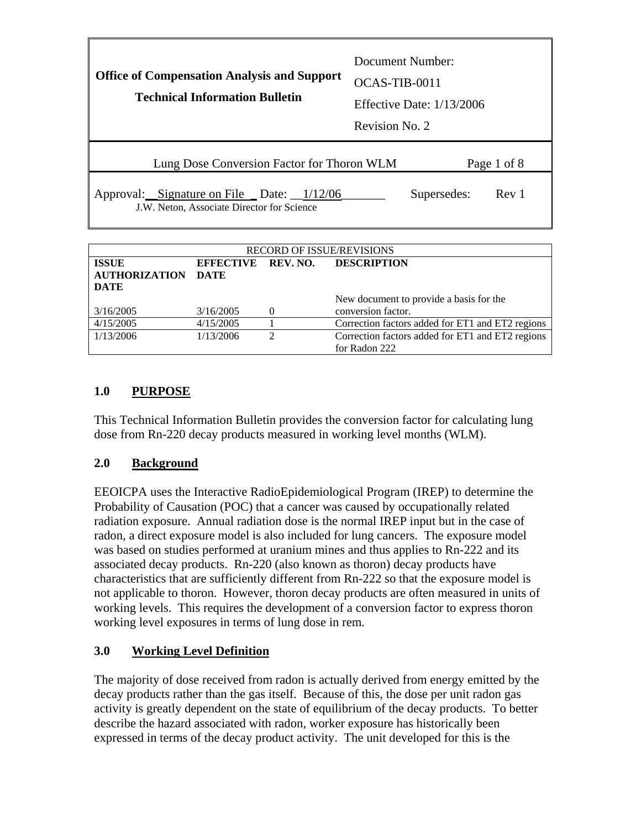| <b>Office of Compensation Analysis and Support</b><br><b>Technical Information Bulletin</b> | Document Number:<br>OCAS-TIB-0011<br>Effective Date: $1/13/2006$<br>Revision No. 2 |  |
|---------------------------------------------------------------------------------------------|------------------------------------------------------------------------------------|--|
| Lung Dose Conversion Factor for Thoron WLM                                                  | Page 1 of 8                                                                        |  |
| Approval: Signature on File _ Date: _1/12/06<br>J.W. Neton, Associate Director for Science  | Supersedes:<br>Rev 1                                                               |  |

| <b>RECORD OF ISSUE/REVISIONS</b>               |           |          |                                                  |
|------------------------------------------------|-----------|----------|--------------------------------------------------|
| EFFECTIVE REV. NO. DESCRIPTION<br><b>ISSUE</b> |           |          |                                                  |
| <b>AUTHORIZATION</b>                           | DATE      |          |                                                  |
| <b>DATE</b>                                    |           |          |                                                  |
|                                                |           |          | New document to provide a basis for the          |
| 3/16/2005                                      | 3/16/2005 | $\theta$ | conversion factor.                               |
| 4/15/2005                                      | 4/15/2005 |          | Correction factors added for ET1 and ET2 regions |
| 1/13/2006                                      | 1/13/2006 | ∍        | Correction factors added for ET1 and ET2 regions |
|                                                |           |          | for Radon 222                                    |

# **1.0 PURPOSE**

This Technical Information Bulletin provides the conversion factor for calculating lung dose from Rn-220 decay products measured in working level months (WLM).

## **2.0 Background**

EEOICPA uses the Interactive RadioEpidemiological Program (IREP) to determine the Probability of Causation (POC) that a cancer was caused by occupationally related radiation exposure. Annual radiation dose is the normal IREP input but in the case of radon, a direct exposure model is also included for lung cancers. The exposure model was based on studies performed at uranium mines and thus applies to Rn-222 and its associated decay products. Rn-220 (also known as thoron) decay products have characteristics that are sufficiently different from Rn-222 so that the exposure model is not applicable to thoron. However, thoron decay products are often measured in units of working levels. This requires the development of a conversion factor to express thoron working level exposures in terms of lung dose in rem.

## **3.0 Working Level Definition**

The majority of dose received from radon is actually derived from energy emitted by the decay products rather than the gas itself. Because of this, the dose per unit radon gas activity is greatly dependent on the state of equilibrium of the decay products. To better describe the hazard associated with radon, worker exposure has historically been expressed in terms of the decay product activity. The unit developed for this is the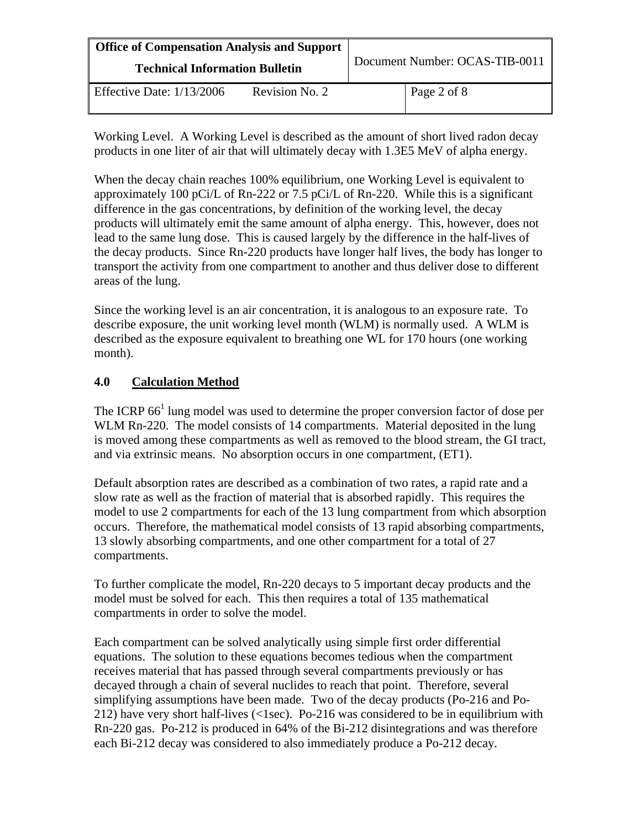| <b>Office of Compensation Analysis and Support</b><br><b>Technical Information Bulletin</b> |  | Document Number: OCAS-TIB-0011 |  |
|---------------------------------------------------------------------------------------------|--|--------------------------------|--|
|                                                                                             |  |                                |  |

Working Level. A Working Level is described as the amount of short lived radon decay products in one liter of air that will ultimately decay with 1.3E5 MeV of alpha energy.

When the decay chain reaches 100% equilibrium, one Working Level is equivalent to approximately 100 pCi/L of Rn-222 or 7.5 pCi/L of Rn-220. While this is a significant difference in the gas concentrations, by definition of the working level, the decay products will ultimately emit the same amount of alpha energy. This, however, does not lead to the same lung dose. This is caused largely by the difference in the half-lives of the decay products. Since Rn-220 products have longer half lives, the body has longer to transport the activity from one compartment to another and thus deliver dose to different areas of the lung.

Since the working level is an air concentration, it is analogous to an exposure rate. To describe exposure, the unit working level month (WLM) is normally used. A WLM is described as the exposure equivalent to breathing one WL for 170 hours (one working month).

## **4.0 Calculation Method**

The ICRP  $66<sup>1</sup>$  lung model was used to determine the proper conversion factor of dose per WLM Rn-220. The model consists of 14 compartments. Material deposited in the lung is moved among these compartments as well as removed to the blood stream, the GI tract, and via extrinsic means. No absorption occurs in one compartment, (ET1).

Default absorption rates are described as a combination of two rates, a rapid rate and a slow rate as well as the fraction of material that is absorbed rapidly. This requires the model to use 2 compartments for each of the 13 lung compartment from which absorption occurs. Therefore, the mathematical model consists of 13 rapid absorbing compartments, 13 slowly absorbing compartments, and one other compartment for a total of 27 compartments.

To further complicate the model, Rn-220 decays to 5 important decay products and the model must be solved for each. This then requires a total of 135 mathematical compartments in order to solve the model.

Each compartment can be solved analytically using simple first order differential equations. The solution to these equations becomes tedious when the compartment receives material that has passed through several compartments previously or has decayed through a chain of several nuclides to reach that point. Therefore, several simplifying assumptions have been made. Two of the decay products (Po-216 and Po-212) have very short half-lives (<1sec). Po-216 was considered to be in equilibrium with Rn-220 gas. Po-212 is produced in 64% of the Bi-212 disintegrations and was therefore each Bi-212 decay was considered to also immediately produce a Po-212 decay.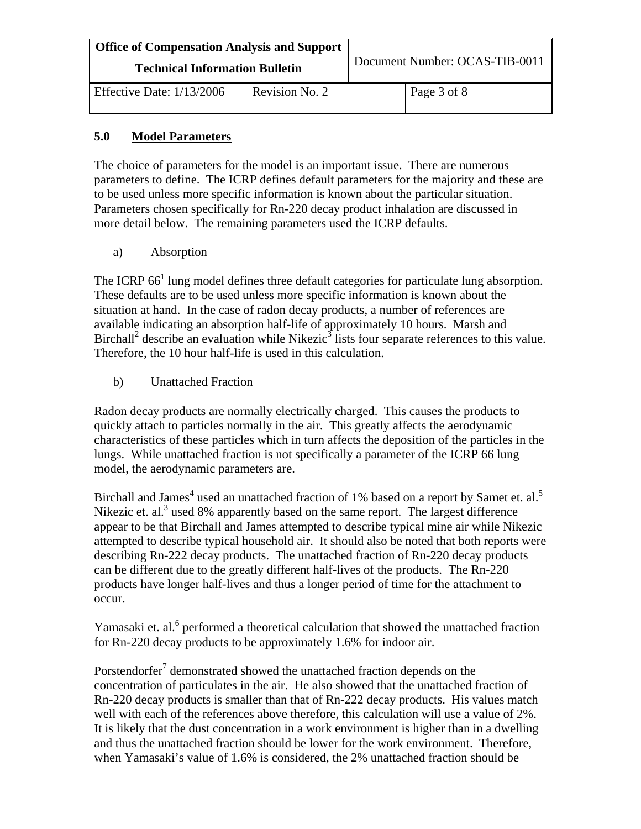| <b>Office of Compensation Analysis and Support</b><br><b>Technical Information Bulletin</b> |                | Document Number: OCAS-TIB-0011 |
|---------------------------------------------------------------------------------------------|----------------|--------------------------------|
| Effective Date: $1/13/2006$                                                                 | Revision No. 2 | Page 3 of 8                    |

#### **5.0 Model Parameters**

The choice of parameters for the model is an important issue. There are numerous parameters to define. The ICRP defines default parameters for the majority and these are to be used unless more specific information is known about the particular situation. Parameters chosen specifically for Rn-220 decay product inhalation are discussed in more detail below. The remaining parameters used the ICRP defaults.

a) Absorption

The ICRP  $66<sup>1</sup>$  lung model defines three default categories for particulate lung absorption. These defaults are to be used unless more specific information is known about the situation at hand. In the case of radon decay products, a number of references are available indicating an absorption half-life of approximately 10 hours. Marsh and Birchall<sup>2</sup> describe an evaluation while Nikezic<sup>3</sup> lists four separate references to this value. Therefore, the 10 hour half-life is used in this calculation.

b) Unattached Fraction

Radon decay products are normally electrically charged. This causes the products to quickly attach to particles normally in the air. This greatly affects the aerodynamic characteristics of these particles which in turn affects the deposition of the particles in the lungs. While unattached fraction is not specifically a parameter of the ICRP 66 lung model, the aerodynamic parameters are.

Birchall and James<sup>4</sup> used an unattached fraction of 1% based on a report by Samet et. al.<sup>5</sup> Nikezic et. al. $3$  used 8% apparently based on the same report. The largest difference appear to be that Birchall and James attempted to describe typical mine air while Nikezic attempted to describe typical household air. It should also be noted that both reports were describing Rn-222 decay products. The unattached fraction of Rn-220 decay products can be different due to the greatly different half-lives of the products. The Rn-220 products have longer half-lives and thus a longer period of time for the attachment to occur.

Yamasaki et. al.<sup>6</sup> performed a theoretical calculation that showed the unattached fraction for Rn-220 decay products to be approximately 1.6% for indoor air.

Porstendorfer<sup>7</sup> demonstrated showed the unattached fraction depends on the concentration of particulates in the air. He also showed that the unattached fraction of Rn-220 decay products is smaller than that of Rn-222 decay products. His values match well with each of the references above therefore, this calculation will use a value of 2%. It is likely that the dust concentration in a work environment is higher than in a dwelling and thus the unattached fraction should be lower for the work environment. Therefore, when Yamasaki's value of 1.6% is considered, the 2% unattached fraction should be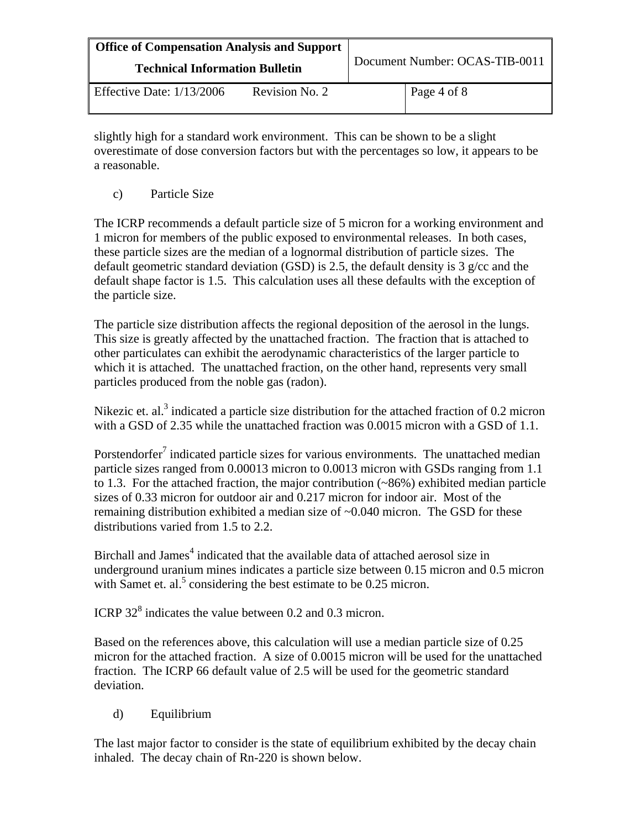| <b>Office of Compensation Analysis and Support</b><br><b>Technical Information Bulletin</b> |                | Document Number: OCAS-TIB-0011 |             |
|---------------------------------------------------------------------------------------------|----------------|--------------------------------|-------------|
| Effective Date: $1/13/2006$                                                                 | Revision No. 2 |                                | Page 4 of 8 |

slightly high for a standard work environment. This can be shown to be a slight overestimate of dose conversion factors but with the percentages so low, it appears to be a reasonable.

c) Particle Size

The ICRP recommends a default particle size of 5 micron for a working environment and 1 micron for members of the public exposed to environmental releases. In both cases, these particle sizes are the median of a lognormal distribution of particle sizes. The default geometric standard deviation (GSD) is 2.5, the default density is 3 g/cc and the default shape factor is 1.5. This calculation uses all these defaults with the exception of the particle size.

The particle size distribution affects the regional deposition of the aerosol in the lungs. This size is greatly affected by the unattached fraction. The fraction that is attached to other particulates can exhibit the aerodynamic characteristics of the larger particle to which it is attached. The unattached fraction, on the other hand, represents very small particles produced from the noble gas (radon).

Nikezic et. al.<sup>3</sup> indicated a particle size distribution for the attached fraction of 0.2 micron with a GSD of 2.35 while the unattached fraction was 0.0015 micron with a GSD of 1.1.

Porstendorfer<sup>7</sup> indicated particle sizes for various environments. The unattached median particle sizes ranged from 0.00013 micron to 0.0013 micron with GSDs ranging from 1.1 to 1.3. For the attached fraction, the major contribution (~86%) exhibited median particle sizes of 0.33 micron for outdoor air and 0.217 micron for indoor air. Most of the remaining distribution exhibited a median size of ~0.040 micron. The GSD for these distributions varied from 1.5 to 2.2.

Birchall and James<sup>4</sup> indicated that the available data of attached aerosol size in underground uranium mines indicates a particle size between 0.15 micron and 0.5 micron with Samet et. al.<sup>5</sup> considering the best estimate to be  $0.25$  micron.

ICRP  $32^8$  indicates the value between 0.2 and 0.3 micron.

Based on the references above, this calculation will use a median particle size of 0.25 micron for the attached fraction. A size of 0.0015 micron will be used for the unattached fraction. The ICRP 66 default value of 2.5 will be used for the geometric standard deviation.

d) Equilibrium

The last major factor to consider is the state of equilibrium exhibited by the decay chain inhaled. The decay chain of Rn-220 is shown below.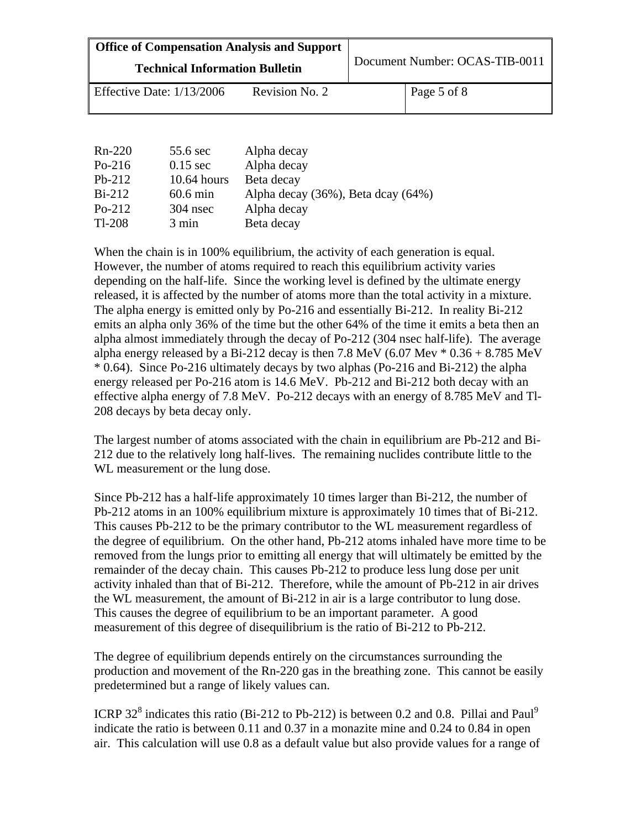| <b>Office of Compensation Analysis and Support</b> |                |                                |             |
|----------------------------------------------------|----------------|--------------------------------|-------------|
| <b>Technical Information Bulletin</b>              |                | Document Number: OCAS-TIB-0011 |             |
| Effective Date: $1/13/2006$                        | Revision No. 2 |                                | Page 5 of 8 |

| $Rn-220$ | 55.6 sec        | Alpha decay                        |
|----------|-----------------|------------------------------------|
| $Po-216$ | $0.15$ sec      | Alpha decay                        |
| $Pb-212$ | $10.64$ hours   | Beta decay                         |
| $Bi-212$ | $60.6$ min      | Alpha decay (36%), Beta dcay (64%) |
| $Po-212$ | $304$ nsec      | Alpha decay                        |
| $Tl-208$ | $3 \text{ min}$ | Beta decay                         |

released, it is affected by the number of atoms more than the total activity in a mixture. When the chain is in 100% equilibrium, the activity of each generation is equal. However, the number of atoms required to reach this equilibrium activity varies depending on the half-life. Since the working level is defined by the ultimate energy The alpha energy is emitted only by Po-216 and essentially Bi-212. In reality Bi-212 emits an alpha only 36% of the time but the other 64% of the time it emits a beta then an alpha almost immediately through the decay of Po-212 (304 nsec half-life). The average alpha energy released by a Bi-212 decay is then 7.8 MeV (6.07 Mev  $*$  0.36 + 8.785 MeV \* 0.64). Since Po-216 ultimately decays by two alphas (Po-216 and Bi-212) the alpha energy released per Po-216 atom is 14.6 MeV. Pb-212 and Bi-212 both decay with an effective alpha energy of 7.8 MeV. Po-212 decays with an energy of 8.785 MeV and Tl-208 decays by beta decay only.

The largest number of atoms associated with the chain in equilibrium are Pb-212 and Bi-212 due to the relatively long half-lives. The remaining nuclides contribute little to the WL measurement or the lung dose.

Since Pb-212 has a half-life approximately 10 times larger than Bi-212, the number of Pb-212 atoms in an 100% equilibrium mixture is approximately 10 times that of Bi-212. This causes Pb-212 to be the primary contributor to the WL measurement regardless of the degree of equilibrium. On the other hand, Pb-212 atoms inhaled have more time to be removed from the lungs prior to emitting all energy that will ultimately be emitted by the remainder of the decay chain. This causes Pb-212 to produce less lung dose per unit activity inhaled than that of Bi-212. Therefore, while the amount of Pb-212 in air drives the WL measurement, the amount of Bi-212 in air is a large contributor to lung dose. This causes the degree of equilibrium to be an important parameter. A good measurement of this degree of disequilibrium is the ratio of Bi-212 to Pb-212.

The degree of equilibrium depends entirely on the circumstances surrounding the production and movement of the Rn-220 gas in the breathing zone. This cannot be easily predetermined but a range of likely values can.

ICRP 32<sup>8</sup> indicates this ratio (Bi-212 to Pb-212) is between 0.2 and 0.8. Pillai and Paul<sup>9</sup> indicate the ratio is between 0.11 and 0.37 in a monazite mine and 0.24 to 0.84 in open air. This calculation will use 0.8 as a default value but also provide values for a range of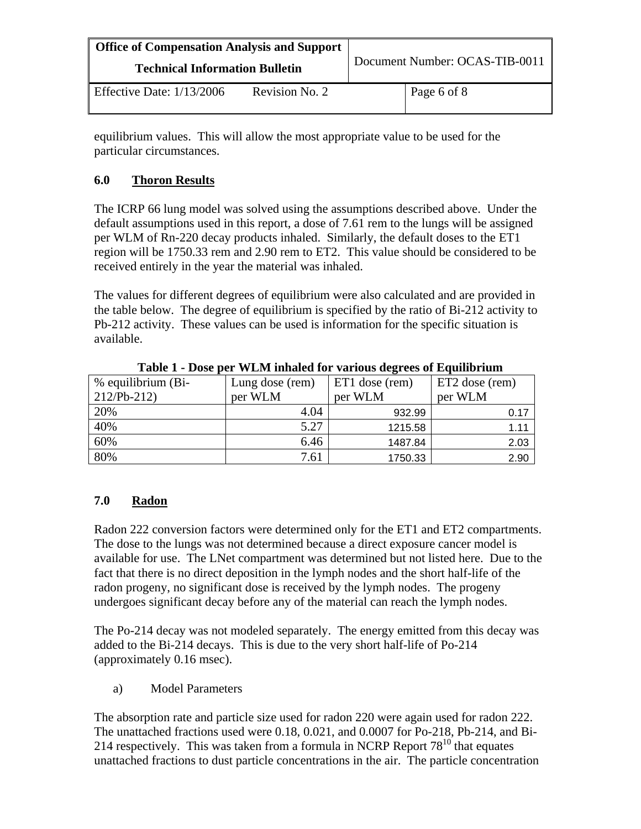| <b>Office of Compensation Analysis and Support</b><br><b>Technical Information Bulletin</b> |                | Document Number: OCAS-TIB-0011 |
|---------------------------------------------------------------------------------------------|----------------|--------------------------------|
| Effective Date: $1/13/2006$                                                                 | Revision No. 2 | Page 6 of 8                    |

equilibrium values. This will allow the most appropriate value to be used for the particular circumstances.

### **6.0 Thoron Results**

The ICRP 66 lung model was solved using the assumptions described above. Under the default assumptions used in this report, a dose of 7.61 rem to the lungs will be assigned per WLM of Rn-220 decay products inhaled. Similarly, the default doses to the ET1 region will be 1750.33 rem and 2.90 rem to ET2. This value should be considered to be received entirely in the year the material was inhaled.

The values for different degrees of equilibrium were also calculated and are provided in the table below. The degree of equilibrium is specified by the ratio of Bi-212 activity to Pb-212 activity. These values can be used is information for the specific situation is available.

| % equilibrium (Bi- | Lung dose (rem) | ET1 dose (rem) | ET2 dose (rem) |
|--------------------|-----------------|----------------|----------------|
| $212/Pb-212$       | per WLM         | per WLM        | per WLM        |
| 20%                | 4.04            | 932.99         | 0.17           |
| 40%                | 5.27            | 1215.58        | 1.11           |
| 60%                | 6.46            | 1487.84        | 2.03           |
| 80%                | 7.61            | 1750.33        | 2.90           |

**Table 1 - Dose per WLM inhaled for various degrees of Equilibrium** 

## **7.0 Radon**

Radon 222 conversion factors were determined only for the ET1 and ET2 compartments. The dose to the lungs was not determined because a direct exposure cancer model is available for use. The LNet compartment was determined but not listed here. Due to the fact that there is no direct deposition in the lymph nodes and the short half-life of the radon progeny, no significant dose is received by the lymph nodes. The progeny undergoes significant decay before any of the material can reach the lymph nodes.

The Po-214 decay was not modeled separately. The energy emitted from this decay was added to the Bi-214 decays. This is due to the very short half-life of Po-214 (approximately 0.16 msec).

a) Model Parameters

The absorption rate and particle size used for radon 220 were again used for radon 222. The unattached fractions used were 0.18, 0.021, and 0.0007 for Po-218, Pb-214, and Bi-214 respectively. This was taken from a formula in NCRP Report  $78^{10}$  that equates unattached fractions to dust particle concentrations in the air. The particle concentration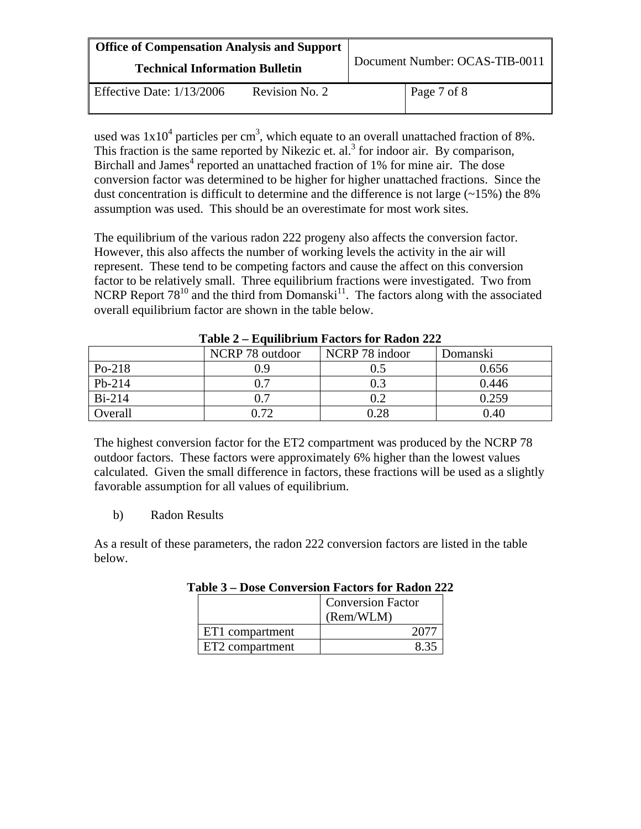| <b>Office of Compensation Analysis and Support</b><br><b>Technical Information Bulletin</b> |                | Document Number: OCAS-TIB-0011 |
|---------------------------------------------------------------------------------------------|----------------|--------------------------------|
| Effective Date: $1/13/2006$                                                                 | Revision No. 2 | Page 7 of 8                    |

used was  $1x10^4$  particles per cm<sup>3</sup>, which equate to an overall unattached fraction of 8%. This fraction is the same reported by Nikezic et.  $al.$ <sup>3</sup> for indoor air. By comparison, Birchall and James<sup>4</sup> reported an unattached fraction of 1% for mine air. The dose conversion factor was determined to be higher for higher unattached fractions. Since the dust concentration is difficult to determine and the difference is not large  $(\sim 15\%)$  the 8% assumption was used. This should be an overestimate for most work sites.

The equilibrium of the various radon 222 progeny also affects the conversion factor. However, this also affects the number of working levels the activity in the air will represent. These tend to be competing factors and cause the affect on this conversion factor to be relatively small. Three equilibrium fractions were investigated. Two from NCRP Report  $78^{10}$  and the third from Domanski<sup>11</sup>. The factors along with the associated overall equilibrium factor are shown in the table below.

| AWMAY A LIMMAANAAMAA A WUYULU AVA AWWUA AAA |                 |                |          |
|---------------------------------------------|-----------------|----------------|----------|
|                                             | NCRP 78 outdoor | NCRP 78 indoor | Domanski |
| $Po-218$                                    | 0.9             | 0.5            | 0.656    |
| $Pb-214$                                    | 0.7             | 0.3            | 0.446    |
| $Bi-214$                                    | $\rm 0.7$       | 0.2            | 0.259    |
| Overall                                     | 0.72            | 0.28           | 0.40     |

**Table 2 – Equilibrium Factors for Radon 222** 

The highest conversion factor for the ET2 compartment was produced by the NCRP 78 outdoor factors. These factors were approximately 6% higher than the lowest values calculated. Given the small difference in factors, these fractions will be used as a slightly favorable assumption for all values of equilibrium.

b) Radon Results

As a result of these parameters, the radon 222 conversion factors are listed in the table below.

|                             | <b>Conversion Factor</b><br>(Rem/WLM) |
|-----------------------------|---------------------------------------|
| ET1 compartment             |                                       |
| ET <sub>2</sub> compartment |                                       |

**Table 3 – Dose Conversion Factors for Radon 222**